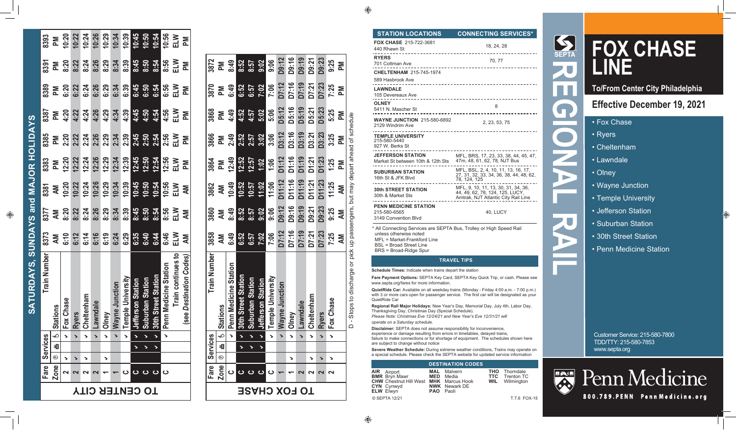| <b>STATION LOCATIONS</b>                      | <b>CONNECTING SERVICES*</b> |
|-----------------------------------------------|-----------------------------|
| <b>FOX CHASE 215-722-3681</b><br>440 Rhawn St | 18.24.28                    |
| <b>RYERS</b><br>701 Cottman Ave               | 70.77                       |
| <b>CHELTENHAM 215-745-1974</b>                |                             |
| 589 Hasbrook Ave                              |                             |
| <b>LAWNDALE</b><br>105 Devereaux Ave          |                             |
| <b>OLNEY</b><br>5411 N. Mascher St            | 8                           |

2. 23. 53. 75 2129 Windrim Ave **TEMPLE UNIVERSITY** 215-580-5440 927 W. Berks St **JEFFERSON STATION** MFL, BRS, 17, 23, 33, 38, 44, 45, 47, Market St between 10th & 12th Sts 47m, 48, 61, 62, 78, NJT Bus -------------------------------MFL, BSL, 2, 4, 10, 11, 13, 16, 17,<br>27, 31, 32, 33, 34, 36, 38, 44, 48, 62, **SUBURBAN STATION** 16th St & JFK Blvd 78, 124, 125 . \_ \_ \_ \_ \_ \_ \_ \_ \_ \_ \_ \_ \_ \_ \_ \_ \_ \_ MFL, 9, 10, 11, 13, 30, 31, 34, 36,<br>44, 49, 62, 78, 124, 125, LUCY, **30th STREET STATION** 30th & Market Sts Amtrak, NJT Atlantic City Rail Line \_\_\_\_\_\_\_\_\_\_\_\_\_\_\_\_\_\_\_\_\_\_\_\_\_\_ **PENN MEDICINE STATION** 215-580-6565 40, LUCY

\* All Connecting Services are SEPTA Bus, Trolley or High Speed Rail unless otherwise noted  $MFI = Market-Frankford Line$ **BSL** = Broad Street Line BRS = Broad-Ridge Spur

### **TRAVEL TIPS**

Schedule Times: Indicate when trains depart the station

**WAYNE JUNCTION 215-580-6892** 

3149 Convention Blvd

Fare Payment Options: SEPTA Key Card, SEPTA Key Quick Trip, or cash. Please see www.septa.org/fares for more information.

QuietRide Car: Available on all weekday trains (Monday - Friday 4:00 a.m. - 7:00 p.m.) with 3 or more cars open for passenger service. The first car will be designated as your QuietRide Car

Regional Rail Major Holidays: New Year's Day, Memorial Day, July 4th, Labor Day, Thanksqiving Day, Christmas Day (Special Schedule).

Please Note: Christmas Eve 12/24/21 and New Year's Eve 12/31/21 will operate on a Saturday schedule.

Disclaimer: SEPTA does not assume responsibility for inconvenience, experience or damage resulting from errors in timetables, delayed trains, failure to make connections or for shortage of equipment. The schedules shown here are subject to change without notice

Severe Weather Schedule: During extreme weather conditions, Trains may operate on a special schedule. Please check the SEPTA website for updated service information

## **DESTINATION CODES**

**AIR** Airport **BMR** Bryn Mawr **CHW** Chestnut Hill West MHK Marcus Hook **CYN** Cynwyd ELW Elwyn © SEPTA 12/21

**MAL** Malvern **MED** Media **NWK** Newark DE PAO Paoli

**THO** Thorndale **TTC Trenton TC WIL** Wilmington

T.T.6 FOX-15

# **FOX CHASE**

**To/From Center City Philadelphia** 

# **Effective December 19, 2021**

- Fox Chase
- Ryers
- Cheltenham
- Lawndale
- Olney

b.

- Wayne Junction
- Temple University
- Jefferson Station
- Suburban Station
- 30th Street Station
- Penn Medicine Station

**Customer Service: 215-580-7800** TDD/TTY: 215-580-7853 www.septa.org



Penn Medicine 800.789. PENN Penn Medicine.org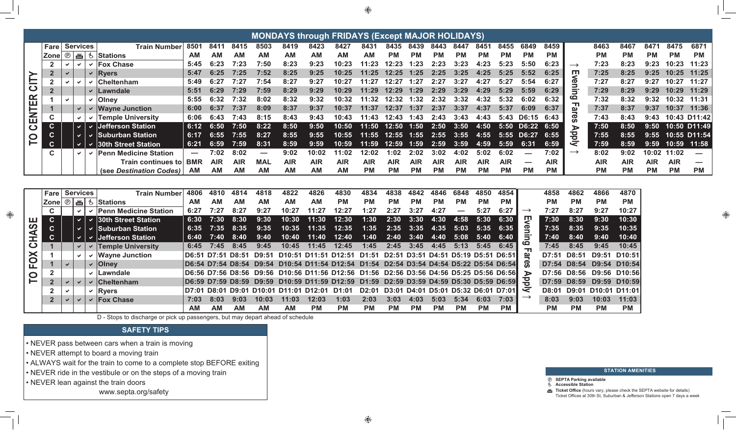|               |                             |              |                 |              |                              |                   |             |                   |                          |                            |            | <b>MONDAYS through FRIDAYS (Except MAJOR HOLIDAYS)</b>         |                                           |            |                   |            |                                     |            |            |                          |            |                           |               |                     |            |            |              |
|---------------|-----------------------------|--------------|-----------------|--------------|------------------------------|-------------------|-------------|-------------------|--------------------------|----------------------------|------------|----------------------------------------------------------------|-------------------------------------------|------------|-------------------|------------|-------------------------------------|------------|------------|--------------------------|------------|---------------------------|---------------|---------------------|------------|------------|--------------|
|               | Fare                        |              | <b>Services</b> |              | <b>Train Number</b>          | 8501              | 8411        | 8415              | 8503                     | 8419                       | 8423       | 8427                                                           | 8431                                      | 8435       | 8439              | 8443       | 8447                                | 8451       | 8455       | 6849                     | 8459       |                           | 8463          | 8467                | 8471       | 8475       | 6871         |
|               |                             |              |                 |              | Zone  ⑨   画   も  Stations    | <b>AM</b>         | <b>AM</b>   | <b>AM</b>         | <b>AM</b>                | <b>AM</b>                  | <b>AM</b>  | <b>AM</b>                                                      | <b>AM</b>                                 | <b>PM</b>  | <b>PM</b>         | <b>PM</b>  | <b>PM</b>                           | <b>PM</b>  | <b>PM</b>  | <b>PM</b>                | <b>PM</b>  |                           | <b>PM</b>     | <b>PM</b>           | <b>PM</b>  | <b>PM</b>  | <b>PM</b>    |
|               | $\overline{2}$              |              | $\checkmark$    | $\checkmark$ | <b>Fox Chase</b>             | 5:45              | 6:23        | 7:23              | 7:50                     | 8:23                       | 9:23       | 10:23                                                          | 11:23                                     | 12:23      | 1:23              | 2:23       | 3:23                                | 4:23       | 5:23       | 5:50                     | 6:23       | $\rightarrow$             | 7:23          | 8:23                | 9:23       | 10:23      | 11:23        |
|               | $\overline{2}$              |              |                 | $\checkmark$ | <b>Ryers</b>                 | 5:47              | 6:25        | 7:25              | 7:52                     | 8:25                       | 9:25       | 10:25                                                          | 11:25                                     | 12:25      | 1:25              | 2:25       | 3:25                                | 4:25       | 5:25       | 5:52                     | 6:25       | ш                         | 7:25          | 8:25                | 9:25       | 10:25      | 11:25        |
| CITY          | $\overline{2}$              | v.           |                 |              | <b>Cheltenham</b>            | 5:49              | 6:27        | 7:27              | 7:54                     | 8:27                       | 9:27       | 10:27                                                          | 11:27                                     | 12:27      | 1:27              | 2:27       | 3:27                                | 4:27       | 5:27       | 5:54                     | 6:27       | vening                    | 7:27          | 8:27                | 9:27       | 10:27      | 11:27        |
|               | $\overline{2}$              |              |                 | $\checkmark$ | <b>Lawndale</b>              | 5:51              | 6:29        | 7:29              | 7:59                     | 8:29                       | 9:29       | 10:29                                                          | 11:29                                     | 12:29      | 1:29              | 2:29       | 3:29                                | 4:29       | 5:29       | 5:59                     | 6:29       |                           | 7:29          | 8:29                | 9:29       | 10:29      | 11:29        |
|               |                             | $\checkmark$ |                 | $\checkmark$ | <b>Olney</b>                 | 5:55              | 6:32        | 7:32              | 8:02                     | 8:32                       | 9:32       | 10:32                                                          | 11:32                                     | 12:32      | 1:32              | 2:32       | 3:32                                | 4:32       | 5:32       | 6:02                     | 6:32       | $\mathbf{\tau}$           | 7:32          | 8:32                | 9:32       | 10:32      | 11:31        |
|               |                             |              |                 |              | <b>Wayne Junction</b>        | 6:00              | 6:37        | 7:37              | 8:09                     | 8:37                       | 9:37       | 10:37                                                          | 11:37                                     | 12:37      | 1:37              | 2:37       | 3:37                                | 4:37       | 5:37       | 6:09                     | 6:37       | $\frac{\omega}{\epsilon}$ | 7:37          | 8:37                | 9:37       | 10:37      | 11:36        |
| <b>CENTER</b> | $\mathbf C$                 |              |                 | $\checkmark$ | <b>Temple University</b>     | 6:06              | 6:43        | 7:43              | 8:15                     | 8:43                       | 9:43       | 10:43                                                          | 11:43                                     | 12:43      | 1:43              | 2:43       | 3:43                                | 4:43       | 5:43       | D6:15                    | 6:43       | တိ                        | 7:43          | 8:43                | 9:43       |            | 10:43 D11:42 |
|               | $\mathbf{C}$                |              | $\vee$          | $\vee$       | <b>Jefferson Station</b>     | 6:12              | 6:50        | 7:50              | 8:22                     | 8:50                       | 9:50       | 10:50                                                          | 11:50                                     | 12:50      | 1:50              | 2:50       | 3:50                                | 4:50       | 5:50       | D6:22                    | 6:50       |                           | 7:50          | 8:50                | 9:50       |            | 10:50 D11:49 |
| <u>p</u>      | $\mathbf{C}$                |              | $\vee$          |              | <b>Suburban Station</b>      | 6:17              | 6:55        | 7:55              | 8:27                     | 8:55                       | 9:55       | 10:55                                                          | 11:55                                     | 12:55      | 1:55              | 2:55       | 3:55                                | 4:55       |            | 5:55 D6:27               | 6:55       | Apply                     | 7:55          | 8:55                | 9:55       |            | 10:55 D11:54 |
|               | $\mathbf{C}$                |              | $\vee$          | $\vee$       | <b>30th Street Station</b>   | 6:21              | 6:59        | 7:59              | 8:31                     | 8:59                       | 9:59       | 10:59                                                          | 11:59                                     | 12:59      | 1:59              | 2:59       | 3:59                                | 4:59       | 5:59       | 6:31                     | 6:59       |                           | 7:59          | 8:59                | 9:59       | 10:59      | 11:58        |
|               | $\mathbf c$                 |              | $\checkmark$    | $\checkmark$ | <b>Penn Medicine Station</b> | $\hspace{0.05cm}$ | 7:02        | 8:02              | $\overline{\phantom{a}}$ | 9:02                       | 10:02      | 11:02                                                          | 12:02                                     | 1:02       | 2:02              | 3:02       | 4:02                                | 5:02       | 6:02       |                          | 7:02       | $\rightarrow$             | 8:02          | 9:02                | 10:02      | 11:02      |              |
|               |                             |              |                 |              | Train continues to           | <b>BMR</b>        | <b>AIR</b>  | <b>AIR</b>        | <b>MAL</b>               | <b>AIR</b>                 | <b>AIR</b> | <b>AIR</b>                                                     | <b>AIR</b>                                | <b>AIR</b> | <b>AIR</b>        | <b>AIR</b> | <b>AIR</b>                          | <b>AIR</b> | <b>AIR</b> | $\overline{\phantom{a}}$ | <b>AIR</b> |                           | <b>AIR</b>    | <b>AIR</b>          | <b>AIR</b> | <b>AIR</b> |              |
|               |                             |              |                 |              | (see Destination Codes)      | AM                | <b>AM</b>   | <b>AM</b>         | <b>AM</b>                | <b>AM</b>                  | <b>AM</b>  | <b>AM</b>                                                      | <b>PM</b>                                 | <b>PM</b>  | <b>PM</b>         | <b>PM</b>  | <b>PM</b>                           | <b>PM</b>  | <b>PM</b>  | <b>PM</b>                | <b>PM</b>  |                           | <b>PM</b>     | <b>PM</b>           | <b>PM</b>  | <b>PM</b>  | <b>PM</b>    |
|               |                             |              |                 |              |                              |                   |             |                   |                          |                            |            |                                                                |                                           |            |                   |            |                                     |            |            |                          |            |                           |               |                     |            |            |              |
|               | Fare                        |              | <b>Services</b> |              | <b>Train Number</b>          | 4814              | 4818        | 4822              | 4826                     | 4830                       | 4834       | 4838                                                           | 4842                                      | 4846       | 6848              | 4850       | 4854                                |            | 4858       | 4862                     | 4866       | 4870                      |               |                     |            |            |              |
|               | $ $ Zone $  \circledcirc  $ |              |                 |              | 画 もStations                  | <b>AM</b>         | <b>AM</b>   | <b>AM</b>         | <b>AM</b>                | <b>AM</b>                  | <b>AM</b>  | <b>PM</b>                                                      | <b>PM</b>                                 | <b>PM</b>  | <b>PM</b>         | <b>PM</b>  | <b>PM</b>                           | <b>PM</b>  | <b>PM</b>  |                          | <b>PM</b>  | <b>PM</b>                 | <b>PM</b>     | <b>PM</b>           |            |            |              |
|               | C.                          |              | $\checkmark$    |              | <b>Penn Medicine Station</b> | 6:27              | 7:27        | 8:27              | 9:27                     | 10:27                      | 11:27      | 12:27                                                          | 1:27                                      | 2:27       | 3:27              | 4:27       |                                     | 5:27       | 6:27       | $\rightarrow$            | 7:27       | 8:27                      | 9:27          | 10:27               |            |            |              |
|               | $\mathbf{C}$                |              | $\vee$ $\vdash$ | $\vee$       | <b>30th Street Station</b>   | 6:30              | 7:30        | 8:30              | 9:30                     | 10:30                      | 11:30      | 12:30                                                          | 1:30                                      | 2:30       | 3:30              | 4:30       | 4:58                                | 5:30       | 6:30       | 핓                        | 7:30       | 8:30                      | 9:30          | 10:30               |            |            |              |
| <u>မာ</u>     | $\mathbf{C}$                |              | $\vee$          | $\vee$       | <b>Suburban Station</b>      | 6:35              | 7:35        | 8:35              | 9:35                     | 10:35                      | 11:35      | 12:35                                                          | 1:35                                      | 2:35       | 3:35              | 4:35       | 5:03                                | 5:35       | 6:35       |                          | 7:35       | 8:35                      | 9:35          | 10:35               |            |            |              |
| ⋖             | $\mathbf{C}$                |              | $\vee$          | ✔            | <b>Jefferson Station</b>     | 6:40              | 7:40        | 8:40              | 9:40                     | 10:40                      | 11:40      | 12:40                                                          | 1:40                                      | 2:40       | 3:40              | 4:40       | 5:08                                | 5:40       | 6:40       | enin                     | 7:40       | 8:40                      | 9:40          | 10:40               |            |            |              |
| こう            | $\blacktriangleleft$        |              | $\checkmark$    |              | $\vee$ Temple University     | 6:45              | 7:45        | 8:45              | 9:45                     | 10:45                      | 11:45      | 12:45                                                          | 1:45                                      | 2:45       | 3:45              | 4:45       | 5:13                                | 5:45       | 6:45       | 6<br>$\mathbf{\tau}$     | 7:45       | 8:45                      | 9:45          | 10:45               |            |            |              |
|               |                             |              |                 |              | <b>Wayne Junction</b>        | D6:51             | D7:51 D8:51 |                   | <b>D9:51</b>             |                            |            | D10:51 D11:51 D12:51                                           | D1:51                                     |            |                   |            | D2:51 D3:51 D4:51 D5:19 D5:51 D6:51 |            |            | <u>മ</u>                 | D7:51      | D8:51                     | D9:51         | D <sub>10</sub> :51 |            |            |              |
| FOX           |                             | $\checkmark$ |                 |              | $\vee$   Olney               |                   |             |                   | D6:54 D7:54 D8:54 D9:54  |                            |            | D10:54 D11:54 D12:54 D1:54 D2:54 D3:54 D4:54 D5:22 D5:54 D6:54 |                                           |            |                   |            |                                     |            |            | - CD                     |            | D7:54 D8:54               |               | D9:54 D10:54        |            |            |              |
|               | $\overline{2}$              |              |                 | $\checkmark$ | Lawndale                     |                   |             |                   |                          |                            |            | D6:56 D7:56 D8:56 D9:56 D10:56 D11:56 D12:56                   | D1:56 D2:56 D3:56 D4:56 D5:25 D5:56 D6:56 |            |                   |            |                                     |            |            | $\triangleright$         | D7:56      | D8:56                     |               | D9:56 D10:56        |            |            |              |
| P             | 2 <sup>2</sup>              | $\checkmark$ |                 | $\checkmark$ | <b>Cheltenham</b>            |                   |             | D6:59 D7:59 D8:59 | D9:59                    |                            |            | D10:59 D11:59 D12:59                                           | D1:59                                     |            |                   |            | D2:59 D3:59 D4:59 D5:30 D5:59 D6:59 |            |            | 공                        | D7:59      | D8:59                     | D9:59         | D10:59              |            |            |              |
|               |                             |              |                 | $\checkmark$ | <b>Ryers</b>                 | D7:01             | D8:01       |                   |                          | D9:01 D10:01 D11:01 D12:01 |            | D1:01                                                          | D <sub>2</sub> :01                        |            | D3:01 D4:01 D5:01 |            | D5:32 D6:01 D7:01                   |            |            | ミ                        | D8:01      | D9:01                     | D10:01 D11:01 |                     |            |            |              |
|               | $\overline{2}$              |              |                 |              | $\vee$   Fox Chase           | 7:03              | 8:03        | 9:03              | 10:03                    | 11:03                      | 12:03      | 1:03                                                           | 2:03                                      | 3:03       | 4:03              | 5:03       | 5:34                                | 6:03       | 7:03       | $\rightarrow$            | 8:03       | 9:03                      | 10:03         | 11:03               |            |            |              |
|               |                             |              |                 |              |                              | <b>AM</b>         | <b>AM</b>   | <b>AM</b>         | <b>AM</b>                | <b>AM</b>                  | <b>PM</b>  | <b>PM</b>                                                      | <b>PM</b>                                 | <b>PM</b>  | <b>PM</b>         | <b>PM</b>  | <b>PM</b>                           | <b>PM</b>  | <b>PM</b>  |                          | <b>PM</b>  | <b>PM</b>                 | <b>PM</b>     | <b>PM</b>           |            |            |              |

|                          |    |              | GIIII MGUILIIG JIALIUII  |      |      |           |       |       |                                        |                                                                                          |           |      |                             |           |      |      |           | .         |
|--------------------------|----|--------------|--------------------------|------|------|-----------|-------|-------|----------------------------------------|------------------------------------------------------------------------------------------|-----------|------|-----------------------------|-----------|------|------|-----------|-----------|
| ш                        | C. |              | 30th Street Station      | 6:30 | 7:30 | 8:30      | 9:30  |       | $\overline{10:30}$ 11:30               | 12:30                                                                                    | 1:30      | 2:30 | 3:30                        | 4:30      | 4:58 | 5:30 | 6:30      | 7:30      |
| တ                        | C. |              | <b>Suburban Station</b>  | 6:35 | 7:35 | 8:35      | 9:35  |       | $\overline{10:35}$ 11:35               | 12:35                                                                                    | 1:35      |      | $2:35$ $3:35$ $4:35$ $5:03$ |           |      | 5:35 | 6:35      | 7:35      |
|                          | C. |              | <b>Jefferson Station</b> | 6:40 | 7:40 | 8:40      | 9:40  |       | 10:40  11:40  12:40                    |                                                                                          | 1:40      | 2:40 | 3:40                        | 4:40      | 5:08 | 5:40 | 6:40      | 7:40      |
| ပ                        |    |              | <b>Temple University</b> | 6:45 | 7:45 | 8:45      | 9:45  |       | 10:45  11:45  12:45                    |                                                                                          | 1:45      |      | $2:45$ $3:45$               | 4:45      | 5:13 |      | 5:45 6:45 | 7:45      |
| ă                        |    | $\checkmark$ | $\vee$ Wayne Junction    |      |      |           |       |       |                                        | D6:51 D7:51 D8:51 D9:51 D10:51 D11:51 D12:51 D1:51 D2:51 D3:51 D4:51 D5:19 D5:51 D6:51 I |           |      |                             |           |      |      |           | D7:51     |
|                          |    |              | $\vee$   Olney           |      |      |           |       |       |                                        | D6:54 D7:54 D8:54 D9:54 D10:54 D11:54 D12:54 D1:54 D2:54 D3:54 D4:54 D5:22 D5:54 D6:54   |           |      |                             |           |      |      |           | D7:54     |
| $\mathbf{\Omega}$        |    |              | $\vee$ Lawndale          |      |      |           |       |       |                                        | D6:56 D7:56 D8:56 D9:56 D10:56 D11:56 D12:56 D1:56 D2:56 D3:56 D4:56 D5:25 D5:56 D6:56   |           |      |                             |           |      |      |           | D7:56     |
| $\overline{\phantom{a}}$ |    | $\checkmark$ | $\vee$ Cheltenham        |      |      |           |       |       |                                        | D6:59 D7:59 D8:59 D9:59 D10:59 D11:59 D12:59 D1:59 D2:59 D3:59 D4:59 D5:30 D5:59 D6:59 D |           |      |                             |           |      |      |           | D7:59     |
|                          |    |              | $\vee$   Ryers           |      |      |           |       |       | D7:01 D8:01 D9:01 D10:01 D11:01 D12:01 | D1:01 D2:01 D3:01 D4:01 D5:01 D5:32 D6:01 D7:01                                          |           |      |                             |           |      |      |           | D8:01     |
|                          |    | $\checkmark$ | $\vee$  Fox Chase        | 7:03 | 8:03 | 9:03      | 10:03 | 11:03 | 12:03                                  | 1:03                                                                                     | 2:03      | 3:03 | 4:03                        | 5:03      | 5:34 | 6:03 | 7:03      | 8:03      |
|                          |    |              |                          | AМ   | AM   | <b>AM</b> | AМ    | AМ    | <b>PM</b>                              | <b>PM</b>                                                                                | <b>PM</b> | PМ   | <b>PM</b>                   | <b>PM</b> | PM.  | PM.  | <b>PM</b> | <b>PM</b> |

D - Stops to discharge or pick up passengers, but may depart ahead of schedule

# **SAFETY TIPS**

- NEVER pass between cars when a train is moving
- NEVER attempt to board a moving train
- ALWAYS wait for the train to come to a complete stop BEFORE exiting
- NEVER ride in the vestibule or on the steps of a moving train
- NEVER lean against the train doors

www.septa.org/safety



# **STATION AMENITIES**

### *<sup>@</sup>* SEPTA Parking available & Accessible Station

Ticket Office (hours vary, please check the SEPTA website for details) Ticket Offices at 30th St, Suburban & Jefferson Stations open 7 days a week